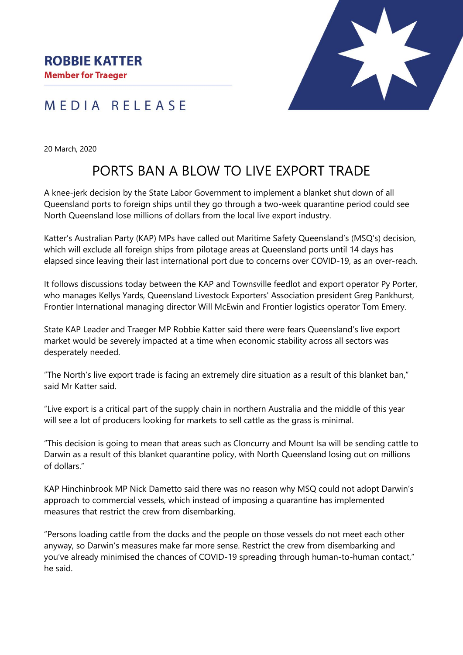## MEDIA RELEASE

20 March, 2020

# PORTS BAN A BLOW TO LIVE EXPORT TRADE

A knee-jerk decision by the State Labor Government to implement a blanket shut down of all Queensland ports to foreign ships until they go through a two-week quarantine period could see North Queensland lose millions of dollars from the local live export industry.

Katter's Australian Party (KAP) MPs have called out Maritime Safety Queensland's (MSQ's) decision, which will exclude all foreign ships from pilotage areas at Queensland ports until 14 days has elapsed since leaving their last international port due to concerns over COVID-19, as an over-reach.

It follows discussions today between the KAP and Townsville feedlot and export operator Py Porter, who manages Kellys Yards, Queensland Livestock Exporters' Association president Greg Pankhurst, Frontier International managing director Will McEwin and Frontier logistics operator Tom Emery.

State KAP Leader and Traeger MP Robbie Katter said there were fears Queensland's live export market would be severely impacted at a time when economic stability across all sectors was desperately needed.

"The North's live export trade is facing an extremely dire situation as a result of this blanket ban," said Mr Katter said.

"Live export is a critical part of the supply chain in northern Australia and the middle of this year will see a lot of producers looking for markets to sell cattle as the grass is minimal.

"This decision is going to mean that areas such as Cloncurry and Mount Isa will be sending cattle to Darwin as a result of this blanket quarantine policy, with North Queensland losing out on millions of dollars."

KAP Hinchinbrook MP Nick Dametto said there was no reason why MSQ could not adopt Darwin's approach to commercial vessels, which instead of imposing a quarantine has implemented measures that restrict the crew from disembarking.

"Persons loading cattle from the docks and the people on those vessels do not meet each other anyway, so Darwin's measures make far more sense. Restrict the crew from disembarking and you've already minimised the chances of COVID-19 spreading through human-to-human contact," he said.